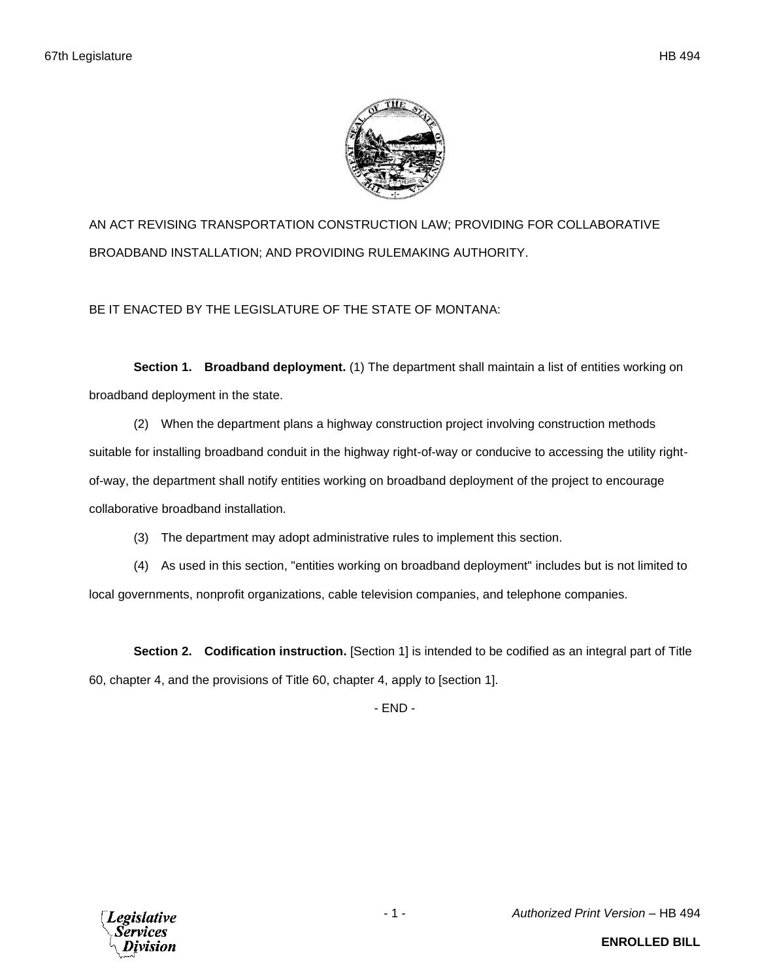

AN ACT REVISING TRANSPORTATION CONSTRUCTION LAW; PROVIDING FOR COLLABORATIVE BROADBAND INSTALLATION; AND PROVIDING RULEMAKING AUTHORITY.

BE IT ENACTED BY THE LEGISLATURE OF THE STATE OF MONTANA:

**Section 1. Broadband deployment.** (1) The department shall maintain a list of entities working on broadband deployment in the state.

(2) When the department plans a highway construction project involving construction methods suitable for installing broadband conduit in the highway right-of-way or conducive to accessing the utility rightof-way, the department shall notify entities working on broadband deployment of the project to encourage collaborative broadband installation.

(3) The department may adopt administrative rules to implement this section.

(4) As used in this section, "entities working on broadband deployment" includes but is not limited to local governments, nonprofit organizations, cable television companies, and telephone companies.

**Section 2. Codification instruction.** [Section 1] is intended to be codified as an integral part of Title 60, chapter 4, and the provisions of Title 60, chapter 4, apply to [section 1].

- END -

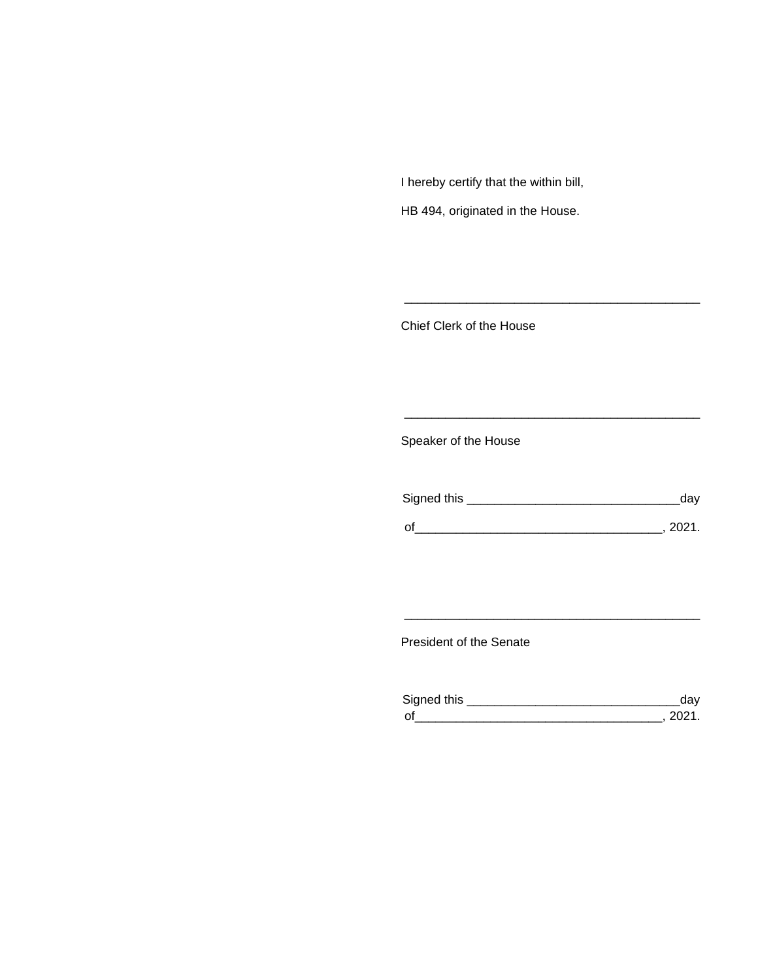I hereby certify that the within bill,

HB 494, originated in the House.

Chief Clerk of the House

Speaker of the House

| Signed this | dav    |
|-------------|--------|
| $\Omega$    | - 2021 |

\_\_\_\_\_\_\_\_\_\_\_\_\_\_\_\_\_\_\_\_\_\_\_\_\_\_\_\_\_\_\_\_\_\_\_\_\_\_\_\_\_\_\_

\_\_\_\_\_\_\_\_\_\_\_\_\_\_\_\_\_\_\_\_\_\_\_\_\_\_\_\_\_\_\_\_\_\_\_\_\_\_\_\_\_\_\_

President of the Senate

| Sianed this |  |
|-------------|--|
| $\Omega$    |  |

\_\_\_\_\_\_\_\_\_\_\_\_\_\_\_\_\_\_\_\_\_\_\_\_\_\_\_\_\_\_\_\_\_\_\_\_\_\_\_\_\_\_\_